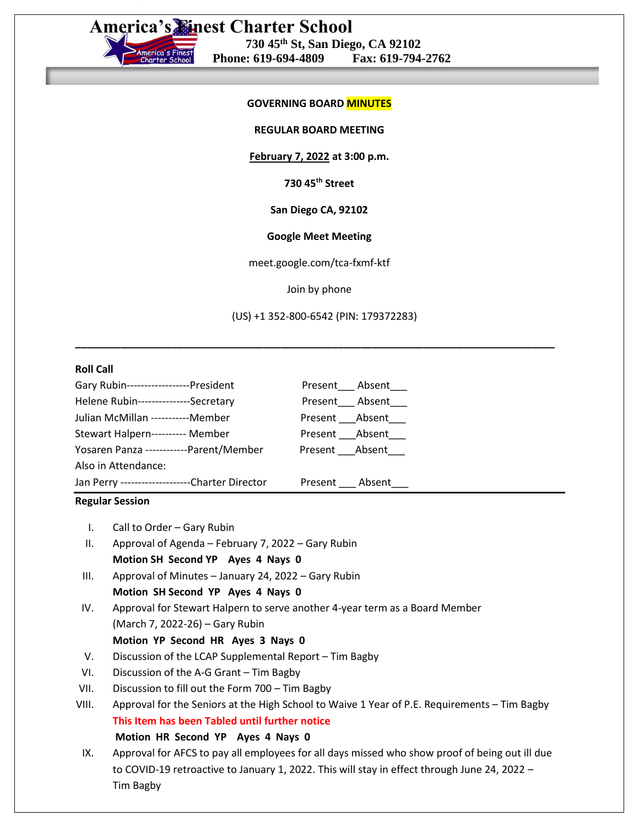**America's Finest Charter School**

# **730 45th St, San Diego, CA 92102 Phone: 619-694-4809 Fax: 619-794-2762**

### **GOVERNING BOARD MINUTES**

**REGULAR BOARD MEETING**

**February 7, 2022 at 3:00 p.m.**

**730 45th Street**

**San Diego CA, 92102**

#### **Google Meet Meeting**

meet.google.com/tca-fxmf-ktf

Join by phone

(US) +1 352-800-6542 (PIN: 179372283)

**\_\_\_\_\_\_\_\_\_\_\_\_\_\_\_\_\_\_\_\_\_\_\_\_\_\_\_\_\_\_\_\_\_\_\_\_\_\_\_\_\_\_\_\_\_\_\_\_\_\_\_\_\_\_\_\_\_\_\_\_\_\_\_\_\_\_\_\_\_\_\_\_\_\_\_\_\_\_\_\_\_\_\_\_**

#### **Roll Call**

| Gary Rubin------------------President           |                | Present Absent |
|-------------------------------------------------|----------------|----------------|
| Helene Rubin----------------Secretary           |                | Present Absent |
| Julian McMillan -----------Member               |                | Present Absent |
| Stewart Halpern---------- Member                | Present Absent |                |
| Yosaren Panza ------------Parent/Member         | Present Absent |                |
| Also in Attendance:                             |                |                |
| Jan Perry ---------------------Charter Director |                | Present Absent |

#### **Regular Session**

- I. Call to Order Gary Rubin
- II. Approval of Agenda February 7, 2022 Gary Rubin **Motion SH Second YP Ayes 4 Nays 0**
- III. Approval of Minutes January 24, 2022 Gary Rubin **Motion SH Second YP Ayes 4 Nays 0**
- IV. Approval for Stewart Halpern to serve another 4-year term as a Board Member (March 7, 2022-26) – Gary Rubin

## **Motion YP Second HR Ayes 3 Nays 0**

- V. Discussion of the LCAP Supplemental Report Tim Bagby
- VI. Discussion of the A-G Grant Tim Bagby
- VII. Discussion to fill out the Form 700 Tim Bagby
- VIII. Approval for the Seniors at the High School to Waive 1 Year of P.E. Requirements Tim Bagby **This Item has been Tabled until further notice Motion HR Second YP Ayes 4 Nays 0**
- IX. Approval for AFCS to pay all employees for all days missed who show proof of being out ill due to COVID-19 retroactive to January 1, 2022. This will stay in effect through June 24, 2022 – Tim Bagby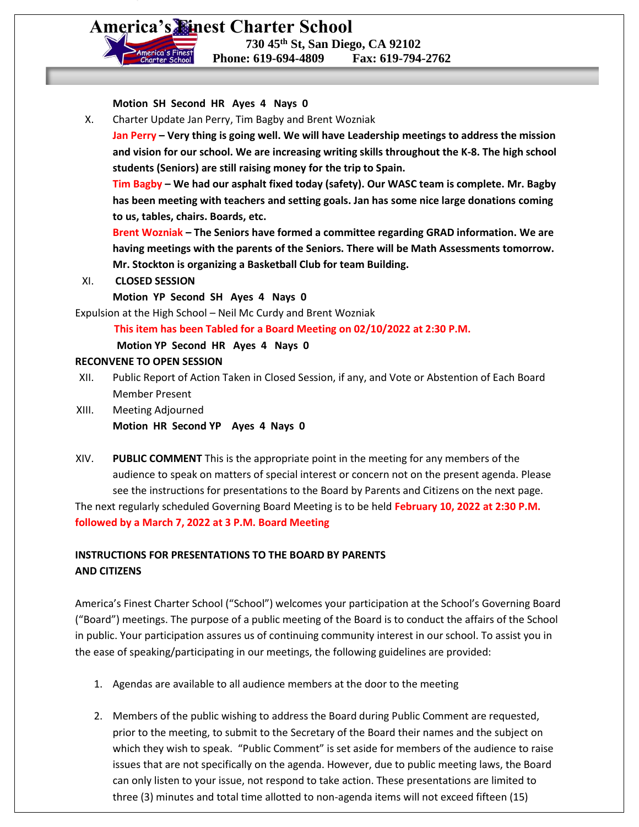**America's Finest Charter School**

 **730 45th St, San Diego, CA 92102 Phone: 619-694-4809 Fax: 619-794-2762**

**Motion SH Second HR Ayes 4 Nays 0**

X. Charter Update Jan Perry, Tim Bagby and Brent Wozniak

**Jan Perry – Very thing is going well. We will have Leadership meetings to address the mission and vision for our school. We are increasing writing skills throughout the K-8. The high school students (Seniors) are still raising money for the trip to Spain.**

**Tim Bagby – We had our asphalt fixed today (safety). Our WASC team is complete. Mr. Bagby has been meeting with teachers and setting goals. Jan has some nice large donations coming to us, tables, chairs. Boards, etc.**

**Brent Wozniak – The Seniors have formed a committee regarding GRAD information. We are having meetings with the parents of the Seniors. There will be Math Assessments tomorrow. Mr. Stockton is organizing a Basketball Club for team Building.**

XI. **CLOSED SESSION**

**Motion YP Second SH Ayes 4 Nays 0**

Expulsion at the High School – Neil Mc Curdy and Brent Wozniak

 **This item has been Tabled for a Board Meeting on 02/10/2022 at 2:30 P.M.**

 **Motion YP Second HR Ayes 4 Nays 0**

#### **RECONVENE TO OPEN SESSION**

- XII. Public Report of Action Taken in Closed Session, if any, and Vote or Abstention of Each Board Member Present
- XIII. Meeting Adjourned **Motion HR Second YP Ayes 4 Nays 0**
- XIV. **PUBLIC COMMENT** This is the appropriate point in the meeting for any members of the audience to speak on matters of special interest or concern not on the present agenda. Please see the instructions for presentations to the Board by Parents and Citizens on the next page.

The next regularly scheduled Governing Board Meeting is to be held **February 10, 2022 at 2:30 P.M. followed by a March 7, 2022 at 3 P.M. Board Meeting**

# **INSTRUCTIONS FOR PRESENTATIONS TO THE BOARD BY PARENTS AND CITIZENS**

America's Finest Charter School ("School") welcomes your participation at the School's Governing Board ("Board") meetings. The purpose of a public meeting of the Board is to conduct the affairs of the School in public. Your participation assures us of continuing community interest in our school. To assist you in the ease of speaking/participating in our meetings, the following guidelines are provided:

- 1. Agendas are available to all audience members at the door to the meeting
- 2. Members of the public wishing to address the Board during Public Comment are requested, prior to the meeting, to submit to the Secretary of the Board their names and the subject on which they wish to speak. "Public Comment" is set aside for members of the audience to raise issues that are not specifically on the agenda. However, due to public meeting laws, the Board can only listen to your issue, not respond to take action. These presentations are limited to three (3) minutes and total time allotted to non-agenda items will not exceed fifteen (15)